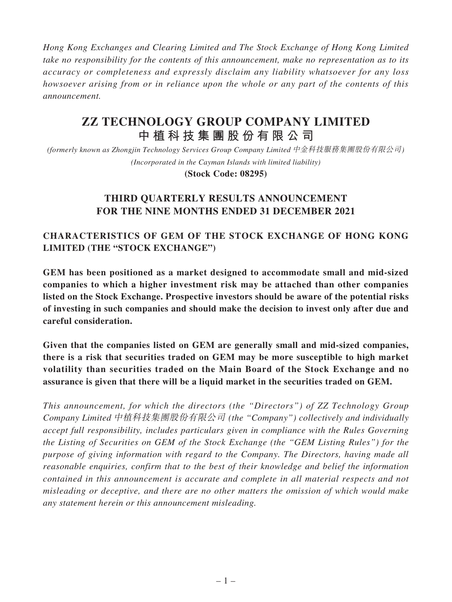*Hong Kong Exchanges and Clearing Limited and The Stock Exchange of Hong Kong Limited take no responsibility for the contents of this announcement, make no representation as to its accuracy or completeness and expressly disclaim any liability whatsoever for any loss howsoever arising from or in reliance upon the whole or any part of the contents of this announcement.*

# **ZZ TECHNOLOGY GROUP COMPANY LIMITED 中植科技集團股份有限公司**

*(formerly known as Zhongjin Technology Services Group Company Limited* 中金科技服務集團股份有限公司*) (Incorporated in the Cayman Islands with limited liability)*

**(Stock Code: 08295)**

# **THIRD QUARTERLY RESULTS ANNOUNCEMENT FOR THE NINE MONTHS ENDED 31 DECEMBER 2021**

# **CHARACTERISTICS OF GEM OF THE STOCK EXCHANGE OF HONG KONG LIMITED (THE "STOCK EXCHANGE")**

**GEM has been positioned as a market designed to accommodate small and mid-sized companies to which a higher investment risk may be attached than other companies listed on the Stock Exchange. Prospective investors should be aware of the potential risks of investing in such companies and should make the decision to invest only after due and careful consideration.**

**Given that the companies listed on GEM are generally small and mid-sized companies, there is a risk that securities traded on GEM may be more susceptible to high market volatility than securities traded on the Main Board of the Stock Exchange and no assurance is given that there will be a liquid market in the securities traded on GEM.**

*This announcement, for which the directors (the "Directors") of ZZ Technology Group Company Limited* 中植科技集團股份有限公司 *(the "Company") collectively and individually accept full responsibility, includes particulars given in compliance with the Rules Governing the Listing of Securities on GEM of the Stock Exchange (the "GEM Listing Rules") for the purpose of giving information with regard to the Company. The Directors, having made all reasonable enquiries, confirm that to the best of their knowledge and belief the information contained in this announcement is accurate and complete in all material respects and not misleading or deceptive, and there are no other matters the omission of which would make any statement herein or this announcement misleading.*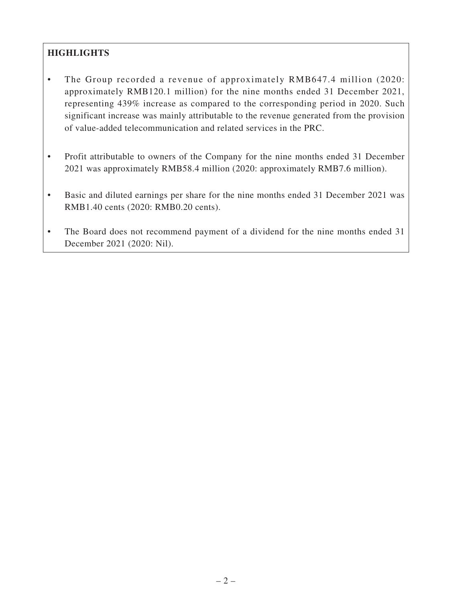# **HIGHLIGHTS**

- The Group recorded a revenue of approximately RMB647.4 million (2020: approximately RMB120.1 million) for the nine months ended 31 December 2021, representing 439% increase as compared to the corresponding period in 2020. Such significant increase was mainly attributable to the revenue generated from the provision of value-added telecommunication and related services in the PRC.
- Profit attributable to owners of the Company for the nine months ended 31 December 2021 was approximately RMB58.4 million (2020: approximately RMB7.6 million).
- Basic and diluted earnings per share for the nine months ended 31 December 2021 was RMB1.40 cents (2020: RMB0.20 cents).
- The Board does not recommend payment of a dividend for the nine months ended 31 December 2021 (2020: Nil).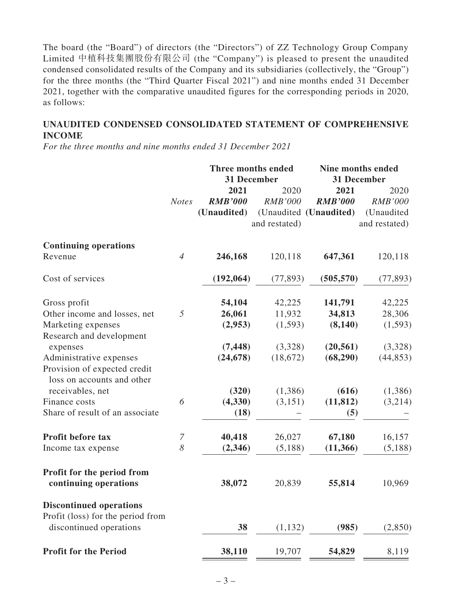The board (the "Board") of directors (the "Directors") of ZZ Technology Group Company Limited 中植科技集團股份有限公司 (the "Company") is pleased to present the unaudited condensed consolidated results of the Company and its subsidiaries (collectively, the "Group") for the three months (the "Third Quarter Fiscal 2021") and nine months ended 31 December 2021, together with the comparative unaudited figures for the corresponding periods in 2020, as follows:

### **UNAUDITED CONDENSED CONSOLIDATED STATEMENT OF COMPREHENSIVE INCOME**

*For the three months and nine months ended 31 December 2021*

|                                                            |                  | Three months ended |                | <b>Nine months ended</b> |                |  |
|------------------------------------------------------------|------------------|--------------------|----------------|--------------------------|----------------|--|
|                                                            |                  |                    | 31 December    | 31 December              |                |  |
|                                                            |                  | 2021               | 2020           | 2021                     | 2020           |  |
|                                                            | <b>Notes</b>     | <b>RMB'000</b>     | <b>RMB'000</b> | <b>RMB'000</b>           | <b>RMB'000</b> |  |
|                                                            |                  | (Unaudited)        |                | (Unaudited (Unaudited)   | (Unaudited     |  |
|                                                            |                  |                    | and restated)  |                          | and restated)  |  |
| <b>Continuing operations</b>                               |                  |                    |                |                          |                |  |
| Revenue                                                    | $\overline{4}$   | 246,168            | 120,118        | 647,361                  | 120,118        |  |
| Cost of services                                           |                  | (192,064)          | (77, 893)      | (505, 570)               | (77, 893)      |  |
| Gross profit                                               |                  | 54,104             | 42,225         | 141,791                  | 42,225         |  |
| Other income and losses, net                               | 5                | 26,061             | 11,932         | 34,813                   | 28,306         |  |
| Marketing expenses                                         |                  | (2,953)            | (1, 593)       | (8, 140)                 | (1,593)        |  |
| Research and development                                   |                  |                    |                |                          |                |  |
| expenses                                                   |                  | (7, 448)           | (3,328)        | (20, 561)                | (3,328)        |  |
| Administrative expenses                                    |                  | (24, 678)          | (18,672)       | (68, 290)                | (44, 853)      |  |
| Provision of expected credit<br>loss on accounts and other |                  |                    |                |                          |                |  |
| receivables, net                                           |                  | (320)              | (1,386)        | (616)                    | (1,386)        |  |
| Finance costs                                              | 6                | (4, 330)           | (3,151)        | (11, 812)                | (3,214)        |  |
| Share of result of an associate                            |                  | (18)               |                | (5)                      |                |  |
| Profit before tax                                          | $\boldsymbol{7}$ | 40,418             | 26,027         | 67,180                   | 16,157         |  |
| Income tax expense                                         | 8                | (2,346)            | (5,188)        | (11, 366)                | (5,188)        |  |
| Profit for the period from<br>continuing operations        |                  | 38,072             | 20,839         | 55,814                   | 10,969         |  |
| <b>Discontinued operations</b>                             |                  |                    |                |                          |                |  |
| Profit (loss) for the period from                          |                  |                    |                |                          |                |  |
| discontinued operations                                    |                  | 38                 | (1, 132)       | (985)                    | (2,850)        |  |
| <b>Profit for the Period</b>                               |                  | 38,110             | 19,707         | 54,829                   | 8,119          |  |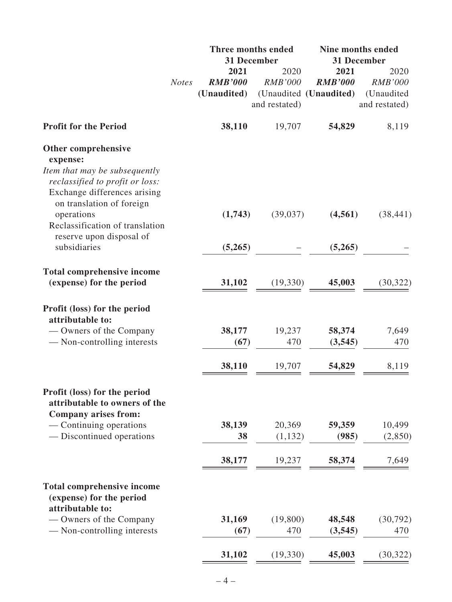|                                                                                                  |              |                | Three months ended | Nine months ended      |                   |  |
|--------------------------------------------------------------------------------------------------|--------------|----------------|--------------------|------------------------|-------------------|--|
|                                                                                                  |              |                | 31 December        |                        | 31 December       |  |
|                                                                                                  |              | 2021           | 2020               | 2021                   | 2020              |  |
|                                                                                                  | <b>Notes</b> | <b>RMB'000</b> | <b>RMB'000</b>     | <b>RMB'000</b>         | <b>RMB'000</b>    |  |
|                                                                                                  |              | (Unaudited)    |                    | (Unaudited (Unaudited) | (Unaudited        |  |
|                                                                                                  |              |                | and restated)      |                        | and restated)     |  |
| <b>Profit for the Period</b>                                                                     |              | 38,110         | 19,707             | 54,829                 | 8,119             |  |
| Other comprehensive<br>expense:                                                                  |              |                |                    |                        |                   |  |
| Item that may be subsequently<br>reclassified to profit or loss:<br>Exchange differences arising |              |                |                    |                        |                   |  |
| on translation of foreign<br>operations<br>Reclassification of translation                       |              | (1,743)        | (39,037)           | (4,561)                | (38, 441)         |  |
| reserve upon disposal of<br>subsidiaries                                                         |              | (5,265)        |                    | (5,265)                |                   |  |
| <b>Total comprehensive income</b><br>(expense) for the period                                    |              | 31,102         | (19, 330)          | 45,003                 | (30, 322)         |  |
| Profit (loss) for the period<br>attributable to:                                                 |              |                |                    |                        |                   |  |
| — Owners of the Company<br>— Non-controlling interests                                           |              | 38,177<br>(67) | 19,237<br>470      | 58,374<br>(3,545)      | 7,649<br>470      |  |
|                                                                                                  |              | 38,110         | 19,707             | 54,829                 | 8,119             |  |
| Profit (loss) for the period<br>attributable to owners of the<br><b>Company arises from:</b>     |              |                |                    |                        |                   |  |
| - Continuing operations<br>- Discontinued operations                                             |              | 38,139<br>38   | 20,369<br>(1,132)  | 59,359<br>(985)        | 10,499<br>(2,850) |  |
|                                                                                                  |              | 38,177         | 19,237             | 58,374                 | 7,649             |  |
| <b>Total comprehensive income</b><br>(expense) for the period<br>attributable to:                |              |                |                    |                        |                   |  |
| — Owners of the Company<br>- Non-controlling interests                                           |              | 31,169<br>(67) | (19,800)<br>470    | 48,548<br>(3,545)      | (30,792)<br>470   |  |
|                                                                                                  |              | 31,102         | (19, 330)          | 45,003                 | (30, 322)         |  |
|                                                                                                  |              |                |                    |                        |                   |  |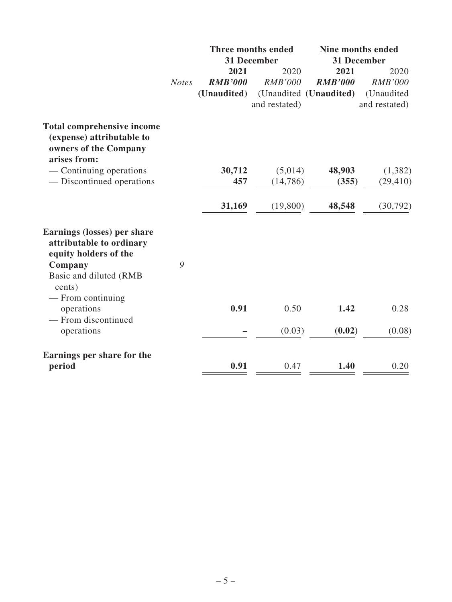|                                                                                                                                                                                                           |              |                | Three months ended<br>31 December | <b>Nine months ended</b><br>31 December |                |  |
|-----------------------------------------------------------------------------------------------------------------------------------------------------------------------------------------------------------|--------------|----------------|-----------------------------------|-----------------------------------------|----------------|--|
|                                                                                                                                                                                                           |              | 2021           | 2020                              | 2021                                    | 2020           |  |
|                                                                                                                                                                                                           | <b>Notes</b> | <b>RMB'000</b> | <b>RMB'000</b>                    | <b>RMB'000</b>                          | <b>RMB'000</b> |  |
|                                                                                                                                                                                                           |              | (Unaudited)    |                                   | (Unaudited (Unaudited)                  | (Unaudited     |  |
|                                                                                                                                                                                                           |              |                | and restated)                     |                                         | and restated)  |  |
| <b>Total comprehensive income</b><br>(expense) attributable to<br>owners of the Company<br>arises from:                                                                                                   |              |                |                                   |                                         |                |  |
| — Continuing operations                                                                                                                                                                                   |              | 30,712         | (5,014)                           | 48,903                                  | (1, 382)       |  |
| — Discontinued operations                                                                                                                                                                                 |              | 457            | (14,786)                          | (355)                                   | (29, 410)      |  |
|                                                                                                                                                                                                           |              | 31,169         | (19,800)                          | 48,548                                  | (30,792)       |  |
| Earnings (losses) per share<br>attributable to ordinary<br>equity holders of the<br>Company<br>Basic and diluted (RMB<br>cents)<br>$-$ From continuing<br>operations<br>- From discontinued<br>operations | 9            | 0.91           | 0.50<br>(0.03)                    | 1.42<br>(0.02)                          | 0.28<br>(0.08) |  |
| Earnings per share for the<br>period                                                                                                                                                                      |              | 0.91           | 0.47                              | 1.40                                    | 0.20           |  |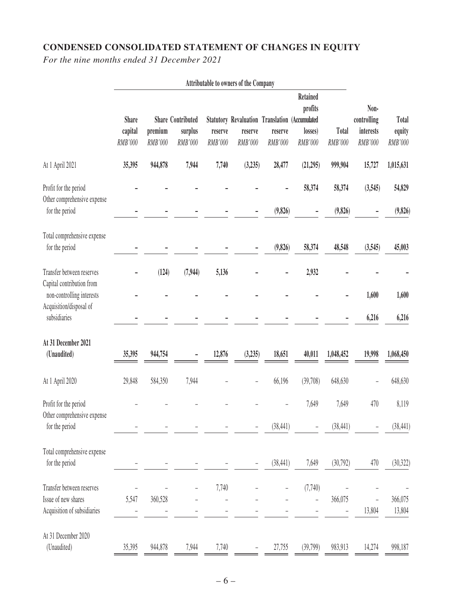# **CONDENSED CONSOLIDATED STATEMENT OF CHANGES IN EQUITY**

*For the nine months ended 31 December 2021*

|                                                                                     | Attributable to owners of the Company |                    |                                                |                    |                                                                             |                    |                                                  |                         |                                             |                            |
|-------------------------------------------------------------------------------------|---------------------------------------|--------------------|------------------------------------------------|--------------------|-----------------------------------------------------------------------------|--------------------|--------------------------------------------------|-------------------------|---------------------------------------------|----------------------------|
|                                                                                     | <b>Share</b><br>capital<br>RMB'000    | premium<br>RMB'000 | <b>Share Contributed</b><br>surplus<br>RMB'000 | reserve<br>RMB'000 | <b>Statutory Revaluation Translation (Accumulated</b><br>reserve<br>RMB'000 | reserve<br>RMB'000 | <b>Retained</b><br>profits<br>losses)<br>RMB'000 | <b>Total</b><br>RMB'000 | Non-<br>controlling<br>interests<br>RMB'000 | Total<br>equity<br>RMB'000 |
| At 1 April 2021                                                                     | 35,395                                | 944,878            | 7,944                                          | 7,740              | (3, 235)                                                                    | 28,477             | (21, 295)                                        | 999,904                 | 15,727                                      | 1,015,631                  |
| Profit for the period<br>Other comprehensive expense<br>for the period              |                                       |                    |                                                |                    |                                                                             | (9,826)            | 58,374                                           | 58,374<br>(9,826)       | (3, 545)                                    | 54,829<br>(9,826)          |
| Total comprehensive expense<br>for the period                                       |                                       |                    |                                                |                    |                                                                             | (9,826)            | 58,374                                           | 48,548                  | (3, 545)                                    | 45,003                     |
| Transfer between reserves<br>Capital contribution from<br>non-controlling interests |                                       | (124)              | (7, 944)                                       | 5,136              |                                                                             |                    | 2,932                                            |                         | 1,600                                       | 1,600                      |
| Acquisition/disposal of<br>subsidiaries                                             |                                       |                    |                                                |                    |                                                                             |                    |                                                  |                         | 6,216                                       | 6,216                      |
| At 31 December 2021<br>(Unaudited)                                                  | 35,395                                | 944,754            |                                                | 12,876             | (3, 235)                                                                    | 18,651             | 40,011                                           | 1,048,452               | 19,998                                      | 1,068,450                  |
| At 1 April 2020                                                                     | 29,848                                | 584,350            | 7,944                                          |                    |                                                                             | 66,196             | (39,708)                                         | 648,630                 |                                             | 648,630                    |
| Profit for the period<br>Other comprehensive expense                                |                                       |                    |                                                |                    |                                                                             |                    | 7,649                                            | 7,649                   | 470                                         | 8,119                      |
| for the period                                                                      |                                       |                    |                                                |                    |                                                                             | (38, 441)          |                                                  | (38, 441)               |                                             | (38, 441)                  |
| Total comprehensive expense<br>for the period                                       |                                       |                    |                                                |                    |                                                                             | (38, 441)          | 7,649                                            | (30,792)                | 470                                         | (30, 322)                  |
| Transfer between reserves<br>Issue of new shares<br>Acquisition of subsidiaries     | 5,547                                 | 360,528            |                                                | 7,740              |                                                                             |                    | (7,740)                                          | 366,075                 | 13,804                                      | 366,075<br>13,804          |
| At 31 December 2020<br>(Unaudited)                                                  | 35,395                                | 944,878            | 7,944                                          | 7,740              |                                                                             | 27,755             | (39,799)                                         | 983,913                 | 14,274                                      | 998,187                    |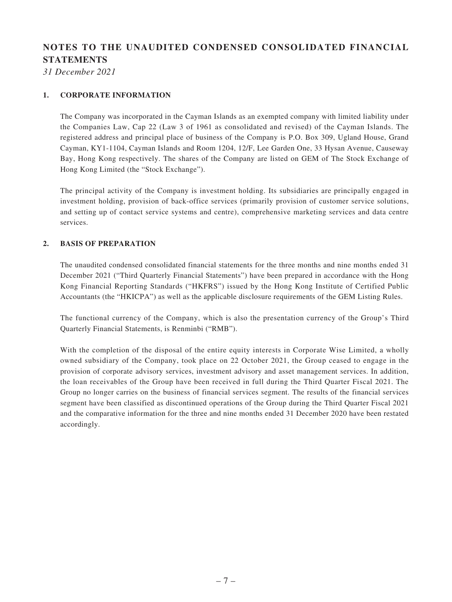# **NOTES TO THE UNAUDITED CONDENSED CONSOLIDATED FINANCIAL STATEMENTS**

*31 December 2021*

#### **1. CORPORATE INFORMATION**

The Company was incorporated in the Cayman Islands as an exempted company with limited liability under the Companies Law, Cap 22 (Law 3 of 1961 as consolidated and revised) of the Cayman Islands. The registered address and principal place of business of the Company is P.O. Box 309, Ugland House, Grand Cayman, KY1-1104, Cayman Islands and Room 1204, 12/F, Lee Garden One, 33 Hysan Avenue, Causeway Bay, Hong Kong respectively. The shares of the Company are listed on GEM of The Stock Exchange of Hong Kong Limited (the "Stock Exchange").

The principal activity of the Company is investment holding. Its subsidiaries are principally engaged in investment holding, provision of back-office services (primarily provision of customer service solutions, and setting up of contact service systems and centre), comprehensive marketing services and data centre services.

#### **2. BASIS OF PREPARATION**

The unaudited condensed consolidated financial statements for the three months and nine months ended 31 December 2021 ("Third Quarterly Financial Statements") have been prepared in accordance with the Hong Kong Financial Reporting Standards ("HKFRS") issued by the Hong Kong Institute of Certified Public Accountants (the "HKICPA") as well as the applicable disclosure requirements of the GEM Listing Rules.

The functional currency of the Company, which is also the presentation currency of the Group's Third Quarterly Financial Statements, is Renminbi ("RMB").

With the completion of the disposal of the entire equity interests in Corporate Wise Limited, a wholly owned subsidiary of the Company, took place on 22 October 2021, the Group ceased to engage in the provision of corporate advisory services, investment advisory and asset management services. In addition, the loan receivables of the Group have been received in full during the Third Quarter Fiscal 2021. The Group no longer carries on the business of financial services segment. The results of the financial services segment have been classified as discontinued operations of the Group during the Third Quarter Fiscal 2021 and the comparative information for the three and nine months ended 31 December 2020 have been restated accordingly.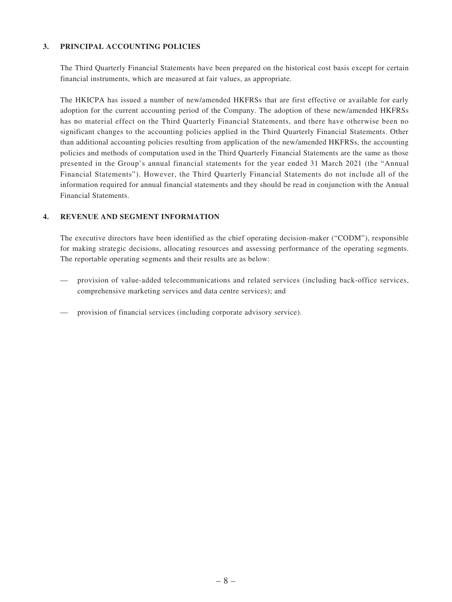#### **3. PRINCIPAL ACCOUNTING POLICIES**

The Third Quarterly Financial Statements have been prepared on the historical cost basis except for certain financial instruments, which are measured at fair values, as appropriate.

The HKICPA has issued a number of new/amended HKFRSs that are first effective or available for early adoption for the current accounting period of the Company. The adoption of these new/amended HKFRSs has no material effect on the Third Quarterly Financial Statements, and there have otherwise been no significant changes to the accounting policies applied in the Third Quarterly Financial Statements. Other than additional accounting policies resulting from application of the new/amended HKFRSs, the accounting policies and methods of computation used in the Third Quarterly Financial Statements are the same as those presented in the Group's annual financial statements for the year ended 31 March 2021 (the "Annual Financial Statements"). However, the Third Quarterly Financial Statements do not include all of the information required for annual financial statements and they should be read in conjunction with the Annual Financial Statements.

#### **4. REVENUE AND SEGMENT INFORMATION**

The executive directors have been identified as the chief operating decision-maker ("CODM"), responsible for making strategic decisions, allocating resources and assessing performance of the operating segments. The reportable operating segments and their results are as below:

- provision of value-added telecommunications and related services (including back-office services, comprehensive marketing services and data centre services); and
- provision of financial services (including corporate advisory service).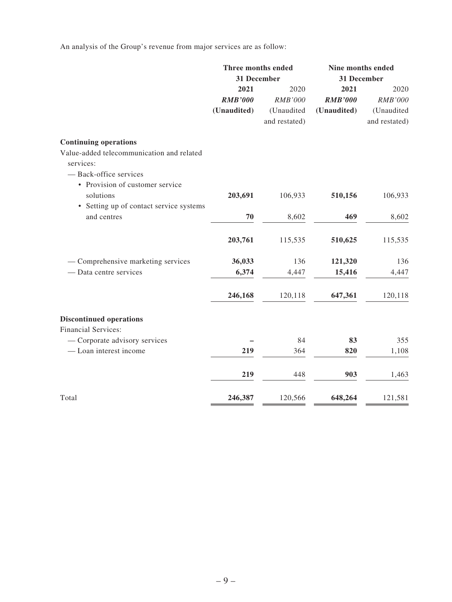An analysis of the Group's revenue from major services are as follow:

|                                                        | Three months ended<br>31 December |                | Nine months ended<br>31 December |               |
|--------------------------------------------------------|-----------------------------------|----------------|----------------------------------|---------------|
|                                                        | 2021                              | 2020           | 2021                             | 2020          |
|                                                        | <b>RMB'000</b>                    | <b>RMB'000</b> | <b>RMB'000</b>                   | RMB'000       |
|                                                        | (Unaudited)                       | (Unaudited     | (Unaudited)                      | (Unaudited    |
|                                                        |                                   | and restated)  |                                  | and restated) |
| <b>Continuing operations</b>                           |                                   |                |                                  |               |
| Value-added telecommunication and related<br>services: |                                   |                |                                  |               |
| - Back-office services                                 |                                   |                |                                  |               |
| • Provision of customer service                        |                                   |                |                                  |               |
| solutions                                              | 203,691                           | 106,933        | 510,156                          | 106,933       |
| • Setting up of contact service systems                |                                   |                |                                  |               |
| and centres                                            | 70                                | 8,602          | 469                              | 8,602         |
|                                                        | 203,761                           | 115,535        | 510,625                          | 115,535       |
| - Comprehensive marketing services                     | 36,033                            | 136            | 121,320                          | 136           |
| - Data centre services                                 | 6,374                             | 4,447          | 15,416                           | 4,447         |
|                                                        | 246,168                           | 120,118        | 647,361                          | 120,118       |
|                                                        |                                   |                |                                  |               |
| <b>Discontinued operations</b>                         |                                   |                |                                  |               |
| <b>Financial Services:</b>                             |                                   |                |                                  |               |
| - Corporate advisory services                          |                                   | 84             | 83                               | 355           |
| - Loan interest income                                 | 219                               | 364            | 820                              | 1,108         |
|                                                        | 219                               | 448            | 903                              | 1,463         |
| Total                                                  | 246,387                           | 120,566        | 648,264                          | 121,581       |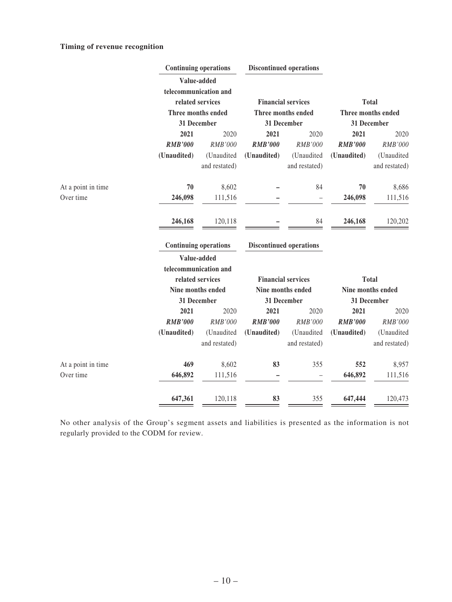#### **Timing of revenue recognition**

|                    | <b>Discontinued operations</b><br><b>Continuing operations</b> |                              |                |                                |                |                    |
|--------------------|----------------------------------------------------------------|------------------------------|----------------|--------------------------------|----------------|--------------------|
|                    |                                                                | Value-added                  |                |                                |                |                    |
|                    |                                                                | telecommunication and        |                |                                |                |                    |
|                    |                                                                | related services             |                | <b>Financial services</b>      |                | <b>Total</b>       |
|                    |                                                                | Three months ended           |                | Three months ended             |                | Three months ended |
|                    |                                                                | 31 December                  |                | 31 December                    |                | 31 December        |
|                    | 2021                                                           | 2020                         | 2021           | 2020                           | 2021           | 2020               |
|                    | <b>RMB'000</b>                                                 | RMB'000                      | <b>RMB'000</b> | RMB'000                        | <b>RMB'000</b> | RMB'000            |
|                    | (Unaudited)                                                    | (Unaudited                   | (Unaudited)    | (Unaudited                     | (Unaudited)    | (Unaudited         |
|                    |                                                                | and restated)                |                | and restated)                  |                | and restated)      |
| At a point in time | 70                                                             | 8,602                        |                | 84                             | 70             | 8,686              |
| Over time          | 246,098                                                        | 111,516                      |                |                                | 246,098        | 111,516            |
|                    |                                                                |                              |                |                                |                |                    |
|                    | 246,168                                                        | 120,118                      |                | 84                             | 246,168        | 120,202            |
|                    |                                                                | <b>Continuing operations</b> |                | <b>Discontinued operations</b> |                |                    |
|                    |                                                                | Value-added                  |                |                                |                |                    |
|                    |                                                                | telecommunication and        |                |                                |                |                    |
|                    |                                                                | related services             |                | <b>Financial services</b>      | <b>Total</b>   |                    |
|                    |                                                                | Nine months ended            |                | Nine months ended              |                | Nine months ended  |
|                    |                                                                | 31 December                  |                | 31 December                    |                | 31 December        |
|                    | 2021                                                           | 2020                         | 2021           | 2020                           | 2021           | 2020               |
|                    | <b>RMB'000</b>                                                 | <b>RMB'000</b>               | <b>RMB'000</b> | RMB'000                        | <b>RMB'000</b> | <b>RMB'000</b>     |
|                    | (Unaudited)                                                    | (Unaudited                   | (Unaudited)    | (Unaudited                     | (Unaudited)    | (Unaudited         |
|                    |                                                                | and restated)                |                | and restated)                  |                | and restated)      |
| At a point in time | 469                                                            | 8,602                        | 83             | 355                            | 552            | 8,957              |
| Over time          | 646,892                                                        | 111,516                      |                | $\overline{\phantom{0}}$       | 646,892        | 111,516            |
|                    | 647,361                                                        | 120,118                      | 83             | 355                            | 647,444        | 120,473            |
|                    |                                                                |                              |                |                                |                |                    |

No other analysis of the Group's segment assets and liabilities is presented as the information is not regularly provided to the CODM for review.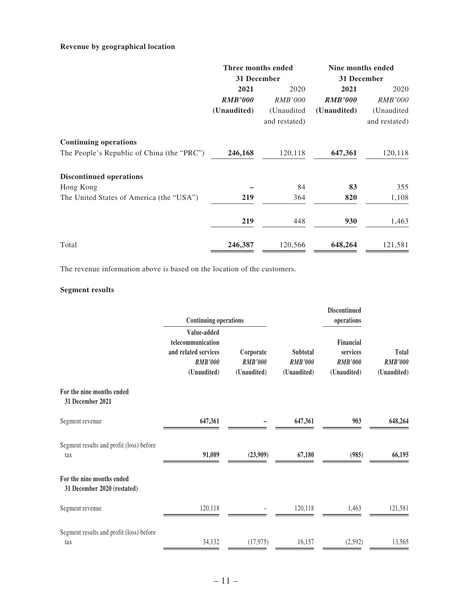#### **Revenue by geographical location**

|                                            | Three months ended   |                | Nine months ended |                |
|--------------------------------------------|----------------------|----------------|-------------------|----------------|
|                                            | 31 December          |                | 31 December       |                |
|                                            | 2021<br>2020<br>2021 |                | 2020              |                |
|                                            | <b>RMB'000</b>       | <i>RMB'000</i> | <b>RMB'000</b>    | <b>RMB'000</b> |
|                                            | (Unaudited)          | (Unaudited     | (Unaudited)       | (Unaudited     |
|                                            |                      | and restated)  |                   | and restated)  |
| <b>Continuing operations</b>               |                      |                |                   |                |
| The People's Republic of China (the "PRC") | 246,168              | 120,118        | 647,361           | 120,118        |
| <b>Discontinued operations</b>             |                      |                |                   |                |
| Hong Kong                                  |                      | 84             | 83                | 355            |
| The United States of America (the "USA")   | 219                  | 364            | 820               | 1,108          |
|                                            | 219                  | 448            | 930               | 1,463          |
| Total                                      | 246,387              | 120,566        | 648,264           | 121,581        |

The revenue information above is based on the location of the customers.

### **Segment results**

|                                                          | <b>Continuing operations</b>                                                              |                                            |                                                  | <b>Discontinued</b><br>operations                      |                                        |
|----------------------------------------------------------|-------------------------------------------------------------------------------------------|--------------------------------------------|--------------------------------------------------|--------------------------------------------------------|----------------------------------------|
|                                                          | Value-added<br>telecommunication<br>and related services<br><b>RMB'000</b><br>(Unaudited) | Corporate<br><b>RMB'000</b><br>(Unaudited) | <b>Subtotal</b><br><b>RMB'000</b><br>(Unaudited) | Financial<br>services<br><b>RMB'000</b><br>(Unaudited) | Total<br><b>RMB'000</b><br>(Unaudited) |
| For the nine months ended<br>31 December 2021            |                                                                                           |                                            |                                                  |                                                        |                                        |
| Segment revenue                                          | 647,361                                                                                   |                                            | 647,361                                          | 903                                                    | 648,264                                |
| Segment results and profit (loss) before<br>tax          | 91,089                                                                                    | (23,909)                                   | 67,180                                           | (985)                                                  | 66,195                                 |
| For the nine months ended<br>31 December 2020 (restated) |                                                                                           |                                            |                                                  |                                                        |                                        |
| Segment revenue                                          | 120,118                                                                                   |                                            | 120,118                                          | 1,463                                                  | 121,581                                |
| Segment results and profit (loss) before<br>tax          | 34,132                                                                                    | (17, 975)                                  | 16,157                                           | (2,592)                                                | 13,565                                 |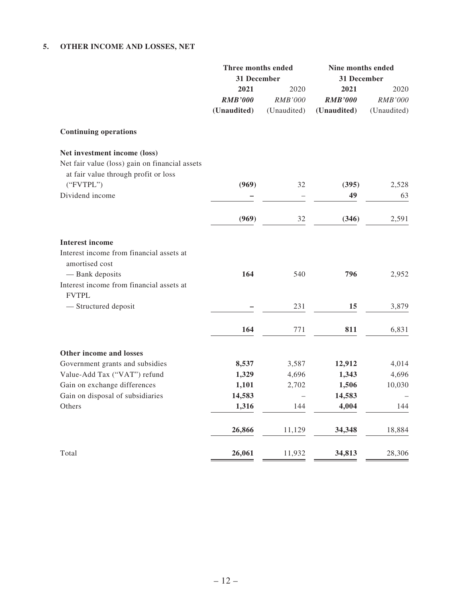### **5. OTHER INCOME AND LOSSES, NET**

|                                                                                                                        | Three months ended<br>31 December     |                                       | Nine months ended<br>31 December      |                                |  |
|------------------------------------------------------------------------------------------------------------------------|---------------------------------------|---------------------------------------|---------------------------------------|--------------------------------|--|
|                                                                                                                        | 2021<br><b>RMB'000</b><br>(Unaudited) | 2020<br><b>RMB'000</b><br>(Unaudited) | 2021<br><b>RMB'000</b><br>(Unaudited) | 2020<br>RMB'000<br>(Unaudited) |  |
| <b>Continuing operations</b>                                                                                           |                                       |                                       |                                       |                                |  |
| Net investment income (loss)<br>Net fair value (loss) gain on financial assets<br>at fair value through profit or loss |                                       |                                       |                                       |                                |  |
| ("FVTPL")                                                                                                              | (969)                                 | 32                                    | (395)                                 | 2,528                          |  |
| Dividend income                                                                                                        |                                       | $\overline{\phantom{0}}$              | 49                                    | 63                             |  |
|                                                                                                                        | (969)                                 | 32                                    | (346)                                 | 2,591                          |  |
| <b>Interest income</b>                                                                                                 |                                       |                                       |                                       |                                |  |
| Interest income from financial assets at<br>amortised cost                                                             |                                       |                                       |                                       |                                |  |
| - Bank deposits<br>Interest income from financial assets at<br><b>FVTPL</b>                                            | 164                                   | 540                                   | 796                                   | 2,952                          |  |
| - Structured deposit                                                                                                   |                                       | 231                                   | 15                                    | 3,879                          |  |
|                                                                                                                        | 164                                   | 771                                   | 811                                   | 6,831                          |  |
| Other income and losses                                                                                                |                                       |                                       |                                       |                                |  |
| Government grants and subsidies                                                                                        | 8,537                                 | 3,587                                 | 12,912                                | 4,014                          |  |
| Value-Add Tax ("VAT") refund                                                                                           | 1,329                                 | 4,696                                 | 1,343                                 | 4,696                          |  |
| Gain on exchange differences                                                                                           | 1,101                                 | 2,702                                 | 1,506                                 | 10,030                         |  |
| Gain on disposal of subsidiaries                                                                                       | 14,583                                |                                       | 14,583                                |                                |  |
| Others                                                                                                                 | 1,316                                 | 144                                   | 4,004                                 | 144                            |  |
|                                                                                                                        | 26,866                                | 11,129                                | 34,348                                | 18,884                         |  |
| Total                                                                                                                  | 26,061                                | 11,932                                | 34,813                                | 28,306                         |  |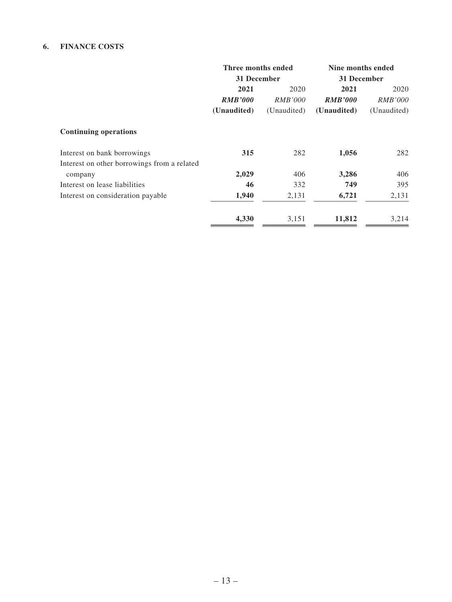#### **6. FINANCE COSTS**

|                                             | Three months ended |                | Nine months ended |                |  |
|---------------------------------------------|--------------------|----------------|-------------------|----------------|--|
|                                             | 31 December        |                | 31 December       |                |  |
|                                             | 2021               | 2020           | 2021              | 2020           |  |
|                                             | <b>RMB'000</b>     | <i>RMB'000</i> | <b>RMB'000</b>    | <i>RMB'000</i> |  |
|                                             | (Unaudited)        | (Unaudited)    | (Unaudited)       | (Unaudited)    |  |
| <b>Continuing operations</b>                |                    |                |                   |                |  |
| Interest on bank borrowings                 | 315                | 282            | 1,056             | 282            |  |
| Interest on other borrowings from a related |                    |                |                   |                |  |
| company                                     | 2,029              | 406            | 3,286             | 406            |  |
| Interest on lease liabilities               | 46                 | 332            | 749               | 395            |  |
| Interest on consideration payable           | 1,940              | 2,131          | 6,721             | 2,131          |  |
|                                             | 4,330              | 3,151          | 11,812            | 3,214          |  |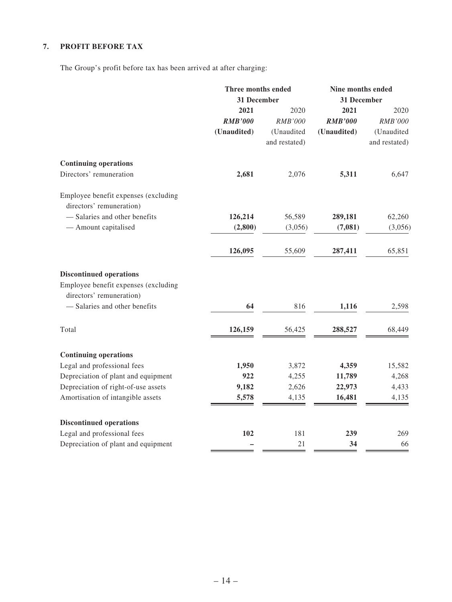### **7. PROFIT BEFORE TAX**

The Group's profit before tax has been arrived at after charging:

|                                                                                                                                     | Three months ended<br>31 December |               | Nine months ended<br>31 December |               |
|-------------------------------------------------------------------------------------------------------------------------------------|-----------------------------------|---------------|----------------------------------|---------------|
|                                                                                                                                     | 2021                              | 2020          | 2021                             | 2020          |
|                                                                                                                                     | <b>RMB'000</b>                    | RMB'000       | <b>RMB'000</b>                   | RMB'000       |
|                                                                                                                                     | (Unaudited)                       | (Unaudited    | (Unaudited)                      | (Unaudited    |
|                                                                                                                                     |                                   | and restated) |                                  | and restated) |
| <b>Continuing operations</b>                                                                                                        |                                   |               |                                  |               |
| Directors' remuneration                                                                                                             | 2,681                             | 2,076         | 5,311                            | 6,647         |
| Employee benefit expenses (excluding                                                                                                |                                   |               |                                  |               |
| directors' remuneration)                                                                                                            |                                   |               |                                  |               |
| - Salaries and other benefits                                                                                                       | 126,214                           | 56,589        | 289,181                          | 62,260        |
| - Amount capitalised                                                                                                                | (2,800)                           | (3,056)       | (7,081)                          | (3,056)       |
|                                                                                                                                     | 126,095                           | 55,609        | 287,411                          | 65,851        |
| <b>Discontinued operations</b><br>Employee benefit expenses (excluding<br>directors' remuneration)<br>- Salaries and other benefits | 64                                | 816           | 1,116                            | 2,598         |
| Total                                                                                                                               | 126,159                           | 56,425        | 288,527                          | 68,449        |
| <b>Continuing operations</b>                                                                                                        |                                   |               |                                  |               |
| Legal and professional fees                                                                                                         | 1,950                             | 3,872         | 4,359                            | 15,582        |
| Depreciation of plant and equipment                                                                                                 | 922                               | 4,255         | 11,789                           | 4,268         |
| Depreciation of right-of-use assets                                                                                                 | 9,182                             | 2,626         | 22,973                           | 4,433         |
| Amortisation of intangible assets                                                                                                   | 5,578                             | 4,135         | 16,481                           | 4,135         |
| <b>Discontinued operations</b>                                                                                                      |                                   |               |                                  |               |
| Legal and professional fees                                                                                                         | 102                               | 181           | 239                              | 269           |
| Depreciation of plant and equipment                                                                                                 |                                   | 21            | 34                               | 66            |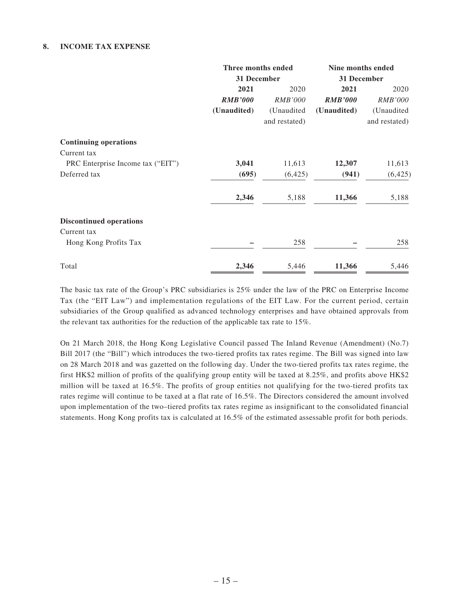#### **8. INCOME TAX EXPENSE**

|                                   | Three months ended |                | Nine months ended |                |
|-----------------------------------|--------------------|----------------|-------------------|----------------|
|                                   | 31 December        |                | 31 December       |                |
|                                   | 2021               | 2020           | 2021              | 2020           |
|                                   | <b>RMB'000</b>     | <i>RMB'000</i> | <b>RMB'000</b>    | <i>RMB'000</i> |
|                                   | (Unaudited)        | (Unaudited     | (Unaudited)       | (Unaudited     |
|                                   |                    | and restated)  |                   | and restated)  |
| <b>Continuing operations</b>      |                    |                |                   |                |
| Current tax                       |                    |                |                   |                |
| PRC Enterprise Income tax ("EIT") | 3,041              | 11,613         | 12,307            | 11,613         |
| Deferred tax                      | (695)              | (6, 425)       | (941)             | (6,425)        |
|                                   | 2,346              | 5,188          | 11,366            | 5,188          |
| <b>Discontinued operations</b>    |                    |                |                   |                |
| Current tax                       |                    |                |                   |                |
| Hong Kong Profits Tax             |                    | 258            |                   | 258            |
| Total                             | 2,346              | 5,446          | 11,366            | 5,446          |

The basic tax rate of the Group's PRC subsidiaries is 25% under the law of the PRC on Enterprise Income Tax (the "EIT Law") and implementation regulations of the EIT Law. For the current period, certain subsidiaries of the Group qualified as advanced technology enterprises and have obtained approvals from the relevant tax authorities for the reduction of the applicable tax rate to 15%.

On 21 March 2018, the Hong Kong Legislative Council passed The Inland Revenue (Amendment) (No.7) Bill 2017 (the "Bill") which introduces the two-tiered profits tax rates regime. The Bill was signed into law on 28 March 2018 and was gazetted on the following day. Under the two-tiered profits tax rates regime, the first HK\$2 million of profits of the qualifying group entity will be taxed at 8.25%, and profits above HK\$2 million will be taxed at 16.5%. The profits of group entities not qualifying for the two-tiered profits tax rates regime will continue to be taxed at a flat rate of 16.5%. The Directors considered the amount involved upon implementation of the two–tiered profits tax rates regime as insignificant to the consolidated financial statements. Hong Kong profits tax is calculated at 16.5% of the estimated assessable profit for both periods.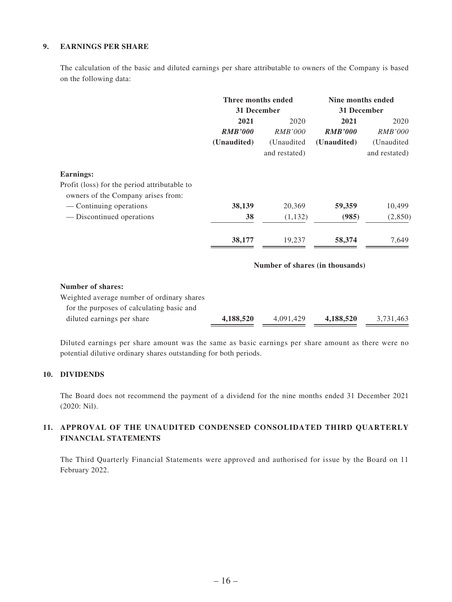#### **9. EARNINGS PER SHARE**

The calculation of the basic and diluted earnings per share attributable to owners of the Company is based on the following data:

| Three months ended<br>31 December |                | Nine months ended<br>31 December |                |
|-----------------------------------|----------------|----------------------------------|----------------|
|                                   |                |                                  |                |
| <b>RMB'000</b>                    | <i>RMB'000</i> | <b>RMB'000</b>                   | <i>RMB'000</i> |
| (Unaudited)                       | (Unaudited)    | (Unaudited)                      | (Unaudited     |
|                                   | and restated)  |                                  | and restated)  |
|                                   |                |                                  |                |
|                                   |                |                                  |                |
| 38,139                            | 20,369         | 59,359                           | 10,499         |
| 38                                | (1, 132)       | (985)                            | (2,850)        |
| 38,177                            | 19,237         | 58,374                           | 7,649          |
|                                   |                |                                  |                |

#### **Number of shares (in thousands)**

#### **Number of shares:**

| Weighted average number of ordinary shares |           |           |           |           |
|--------------------------------------------|-----------|-----------|-----------|-----------|
| for the purposes of calculating basic and  |           |           |           |           |
| diluted earnings per share                 | 4.188.520 | 4.091.429 | 4.188.520 | 3.731.463 |

Diluted earnings per share amount was the same as basic earnings per share amount as there were no potential dilutive ordinary shares outstanding for both periods.

#### **10. DIVIDENDS**

The Board does not recommend the payment of a dividend for the nine months ended 31 December 2021 (2020: Nil).

#### **11. APPROVAL OF THE UNAUDITED CONDENSED CONSOLIDATED THIRD QUARTERLY FINANCIAL STATEMENTS**

The Third Quarterly Financial Statements were approved and authorised for issue by the Board on 11 February 2022.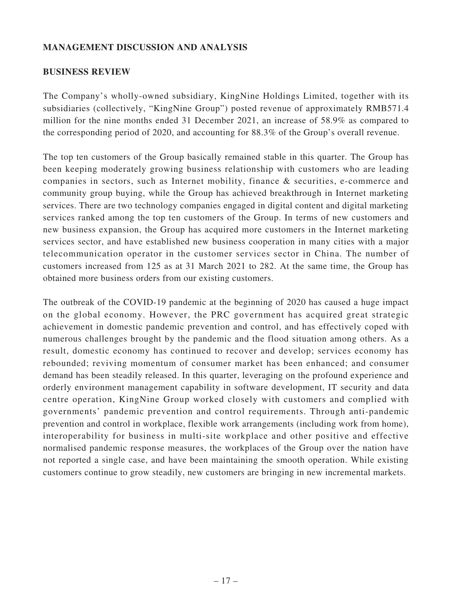## **MANAGEMENT DISCUSSION AND ANALYSIS**

### **BUSINESS REVIEW**

The Company's wholly-owned subsidiary, KingNine Holdings Limited, together with its subsidiaries (collectively, "KingNine Group") posted revenue of approximately RMB571.4 million for the nine months ended 31 December 2021, an increase of 58.9% as compared to the corresponding period of 2020, and accounting for 88.3% of the Group's overall revenue.

The top ten customers of the Group basically remained stable in this quarter. The Group has been keeping moderately growing business relationship with customers who are leading companies in sectors, such as Internet mobility, finance & securities, e-commerce and community group buying, while the Group has achieved breakthrough in Internet marketing services. There are two technology companies engaged in digital content and digital marketing services ranked among the top ten customers of the Group. In terms of new customers and new business expansion, the Group has acquired more customers in the Internet marketing services sector, and have established new business cooperation in many cities with a major telecommunication operator in the customer services sector in China. The number of customers increased from 125 as at 31 March 2021 to 282. At the same time, the Group has obtained more business orders from our existing customers.

The outbreak of the COVID-19 pandemic at the beginning of 2020 has caused a huge impact on the global economy. However, the PRC government has acquired great strategic achievement in domestic pandemic prevention and control, and has effectively coped with numerous challenges brought by the pandemic and the flood situation among others. As a result, domestic economy has continued to recover and develop; services economy has rebounded; reviving momentum of consumer market has been enhanced; and consumer demand has been steadily released. In this quarter, leveraging on the profound experience and orderly environment management capability in software development, IT security and data centre operation, KingNine Group worked closely with customers and complied with governments' pandemic prevention and control requirements. Through anti-pandemic prevention and control in workplace, flexible work arrangements (including work from home), interoperability for business in multi-site workplace and other positive and effective normalised pandemic response measures, the workplaces of the Group over the nation have not reported a single case, and have been maintaining the smooth operation. While existing customers continue to grow steadily, new customers are bringing in new incremental markets.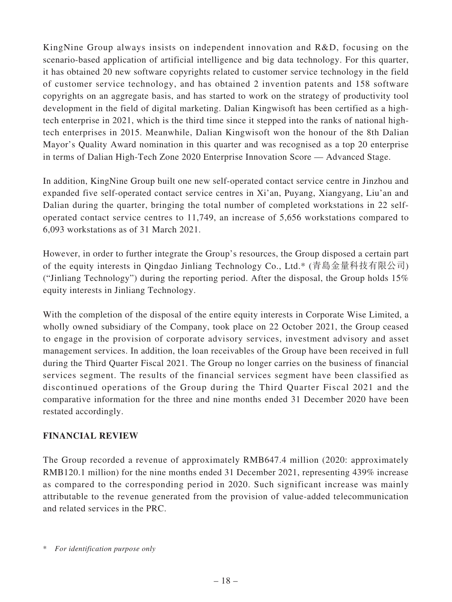KingNine Group always insists on independent innovation and R&D, focusing on the scenario-based application of artificial intelligence and big data technology. For this quarter, it has obtained 20 new software copyrights related to customer service technology in the field of customer service technology, and has obtained 2 invention patents and 158 software copyrights on an aggregate basis, and has started to work on the strategy of productivity tool development in the field of digital marketing. Dalian Kingwisoft has been certified as a hightech enterprise in 2021, which is the third time since it stepped into the ranks of national hightech enterprises in 2015. Meanwhile, Dalian Kingwisoft won the honour of the 8th Dalian Mayor's Quality Award nomination in this quarter and was recognised as a top 20 enterprise in terms of Dalian High-Tech Zone 2020 Enterprise Innovation Score — Advanced Stage.

In addition, KingNine Group built one new self-operated contact service centre in Jinzhou and expanded five self-operated contact service centres in Xi'an, Puyang, Xiangyang, Liu'an and Dalian during the quarter, bringing the total number of completed workstations in 22 selfoperated contact service centres to 11,749, an increase of 5,656 workstations compared to 6,093 workstations as of 31 March 2021.

However, in order to further integrate the Group's resources, the Group disposed a certain part of the equity interests in Qingdao Jinliang Technology Co., Ltd.\* (青島金量科技有限公司) ("Jinliang Technology") during the reporting period. After the disposal, the Group holds 15% equity interests in Jinliang Technology.

With the completion of the disposal of the entire equity interests in Corporate Wise Limited, a wholly owned subsidiary of the Company, took place on 22 October 2021, the Group ceased to engage in the provision of corporate advisory services, investment advisory and asset management services. In addition, the loan receivables of the Group have been received in full during the Third Quarter Fiscal 2021. The Group no longer carries on the business of financial services segment. The results of the financial services segment have been classified as discontinued operations of the Group during the Third Quarter Fiscal 2021 and the comparative information for the three and nine months ended 31 December 2020 have been restated accordingly.

### **FINANCIAL REVIEW**

The Group recorded a revenue of approximately RMB647.4 million (2020: approximately RMB120.1 million) for the nine months ended 31 December 2021, representing 439% increase as compared to the corresponding period in 2020. Such significant increase was mainly attributable to the revenue generated from the provision of value-added telecommunication and related services in the PRC.

<sup>\*</sup> *For identification purpose only*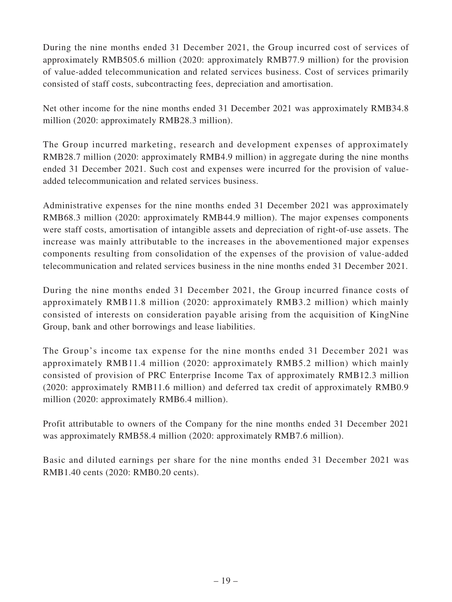During the nine months ended 31 December 2021, the Group incurred cost of services of approximately RMB505.6 million (2020: approximately RMB77.9 million) for the provision of value-added telecommunication and related services business. Cost of services primarily consisted of staff costs, subcontracting fees, depreciation and amortisation.

Net other income for the nine months ended 31 December 2021 was approximately RMB34.8 million (2020: approximately RMB28.3 million).

The Group incurred marketing, research and development expenses of approximately RMB28.7 million (2020: approximately RMB4.9 million) in aggregate during the nine months ended 31 December 2021. Such cost and expenses were incurred for the provision of valueadded telecommunication and related services business.

Administrative expenses for the nine months ended 31 December 2021 was approximately RMB68.3 million (2020: approximately RMB44.9 million). The major expenses components were staff costs, amortisation of intangible assets and depreciation of right-of-use assets. The increase was mainly attributable to the increases in the abovementioned major expenses components resulting from consolidation of the expenses of the provision of value-added telecommunication and related services business in the nine months ended 31 December 2021.

During the nine months ended 31 December 2021, the Group incurred finance costs of approximately RMB11.8 million (2020: approximately RMB3.2 million) which mainly consisted of interests on consideration payable arising from the acquisition of KingNine Group, bank and other borrowings and lease liabilities.

The Group's income tax expense for the nine months ended 31 December 2021 was approximately RMB11.4 million (2020: approximately RMB5.2 million) which mainly consisted of provision of PRC Enterprise Income Tax of approximately RMB12.3 million (2020: approximately RMB11.6 million) and deferred tax credit of approximately RMB0.9 million (2020: approximately RMB6.4 million).

Profit attributable to owners of the Company for the nine months ended 31 December 2021 was approximately RMB58.4 million (2020: approximately RMB7.6 million).

Basic and diluted earnings per share for the nine months ended 31 December 2021 was RMB1.40 cents (2020: RMB0.20 cents).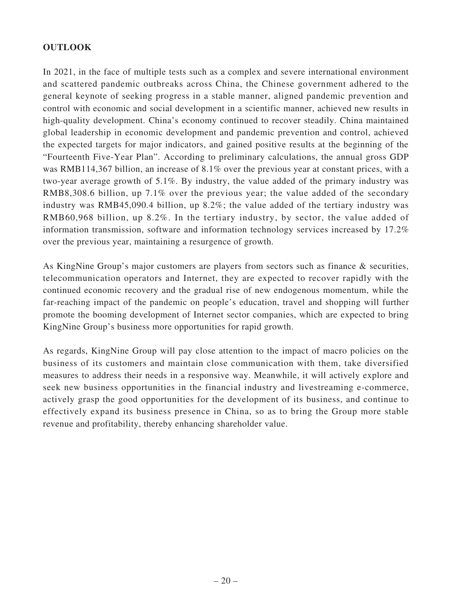## **OUTLOOK**

In 2021, in the face of multiple tests such as a complex and severe international environment and scattered pandemic outbreaks across China, the Chinese government adhered to the general keynote of seeking progress in a stable manner, aligned pandemic prevention and control with economic and social development in a scientific manner, achieved new results in high-quality development. China's economy continued to recover steadily. China maintained global leadership in economic development and pandemic prevention and control, achieved the expected targets for major indicators, and gained positive results at the beginning of the "Fourteenth Five-Year Plan". According to preliminary calculations, the annual gross GDP was RMB114,367 billion, an increase of 8.1% over the previous year at constant prices, with a two-year average growth of 5.1%. By industry, the value added of the primary industry was RMB8,308.6 billion, up 7.1% over the previous year; the value added of the secondary industry was RMB45,090.4 billion, up 8.2%; the value added of the tertiary industry was RMB60,968 billion, up 8.2%. In the tertiary industry, by sector, the value added of information transmission, software and information technology services increased by 17.2% over the previous year, maintaining a resurgence of growth.

As KingNine Group's major customers are players from sectors such as finance & securities, telecommunication operators and Internet, they are expected to recover rapidly with the continued economic recovery and the gradual rise of new endogenous momentum, while the far-reaching impact of the pandemic on people's education, travel and shopping will further promote the booming development of Internet sector companies, which are expected to bring KingNine Group's business more opportunities for rapid growth.

As regards, KingNine Group will pay close attention to the impact of macro policies on the business of its customers and maintain close communication with them, take diversified measures to address their needs in a responsive way. Meanwhile, it will actively explore and seek new business opportunities in the financial industry and livestreaming e-commerce, actively grasp the good opportunities for the development of its business, and continue to effectively expand its business presence in China, so as to bring the Group more stable revenue and profitability, thereby enhancing shareholder value.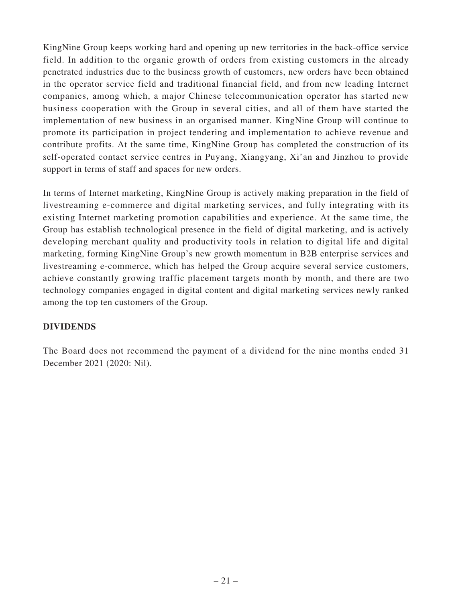KingNine Group keeps working hard and opening up new territories in the back-office service field. In addition to the organic growth of orders from existing customers in the already penetrated industries due to the business growth of customers, new orders have been obtained in the operator service field and traditional financial field, and from new leading Internet companies, among which, a major Chinese telecommunication operator has started new business cooperation with the Group in several cities, and all of them have started the implementation of new business in an organised manner. KingNine Group will continue to promote its participation in project tendering and implementation to achieve revenue and contribute profits. At the same time, KingNine Group has completed the construction of its self-operated contact service centres in Puyang, Xiangyang, Xi'an and Jinzhou to provide support in terms of staff and spaces for new orders.

In terms of Internet marketing, KingNine Group is actively making preparation in the field of livestreaming e-commerce and digital marketing services, and fully integrating with its existing Internet marketing promotion capabilities and experience. At the same time, the Group has establish technological presence in the field of digital marketing, and is actively developing merchant quality and productivity tools in relation to digital life and digital marketing, forming KingNine Group's new growth momentum in B2B enterprise services and livestreaming e-commerce, which has helped the Group acquire several service customers, achieve constantly growing traffic placement targets month by month, and there are two technology companies engaged in digital content and digital marketing services newly ranked among the top ten customers of the Group.

# **DIVIDENDS**

The Board does not recommend the payment of a dividend for the nine months ended 31 December 2021 (2020: Nil).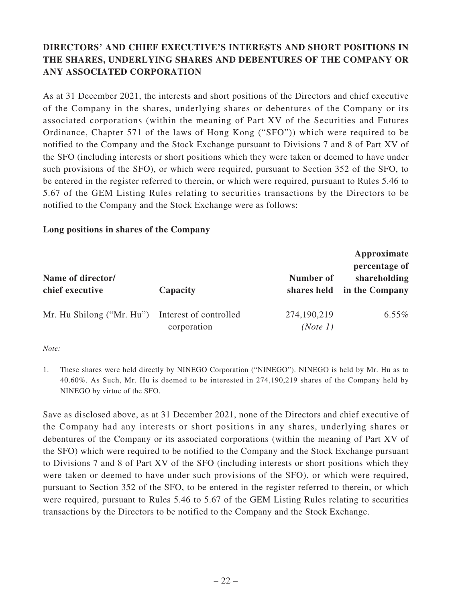# **DIRECTORS' AND CHIEF EXECUTIVE'S INTERESTS AND SHORT POSITIONS IN THE SHARES, UNDERLYING SHARES AND DEBENTURES OF THE COMPANY OR ANY ASSOCIATED CORPORATION**

As at 31 December 2021, the interests and short positions of the Directors and chief executive of the Company in the shares, underlying shares or debentures of the Company or its associated corporations (within the meaning of Part XV of the Securities and Futures Ordinance, Chapter 571 of the laws of Hong Kong ("SFO")) which were required to be notified to the Company and the Stock Exchange pursuant to Divisions 7 and 8 of Part XV of the SFO (including interests or short positions which they were taken or deemed to have under such provisions of the SFO), or which were required, pursuant to Section 352 of the SFO, to be entered in the register referred to therein, or which were required, pursuant to Rules 5.46 to 5.67 of the GEM Listing Rules relating to securities transactions by the Directors to be notified to the Company and the Stock Exchange were as follows:

### **Long positions in shares of the Company**

| Name of director/<br>chief executive | Capacity                              | Number of               | Approximate<br>percentage of<br>shareholding<br>shares held in the Company |
|--------------------------------------|---------------------------------------|-------------------------|----------------------------------------------------------------------------|
| Mr. Hu Shilong ("Mr. Hu")            | Interest of controlled<br>corporation | 274,190,219<br>(Note 1) | $6.55\%$                                                                   |

#### *Note:*

1. These shares were held directly by NINEGO Corporation ("NINEGO"). NINEGO is held by Mr. Hu as to 40.60%. As Such, Mr. Hu is deemed to be interested in 274,190,219 shares of the Company held by NINEGO by virtue of the SFO.

Save as disclosed above, as at 31 December 2021, none of the Directors and chief executive of the Company had any interests or short positions in any shares, underlying shares or debentures of the Company or its associated corporations (within the meaning of Part XV of the SFO) which were required to be notified to the Company and the Stock Exchange pursuant to Divisions 7 and 8 of Part XV of the SFO (including interests or short positions which they were taken or deemed to have under such provisions of the SFO), or which were required, pursuant to Section 352 of the SFO, to be entered in the register referred to therein, or which were required, pursuant to Rules 5.46 to 5.67 of the GEM Listing Rules relating to securities transactions by the Directors to be notified to the Company and the Stock Exchange.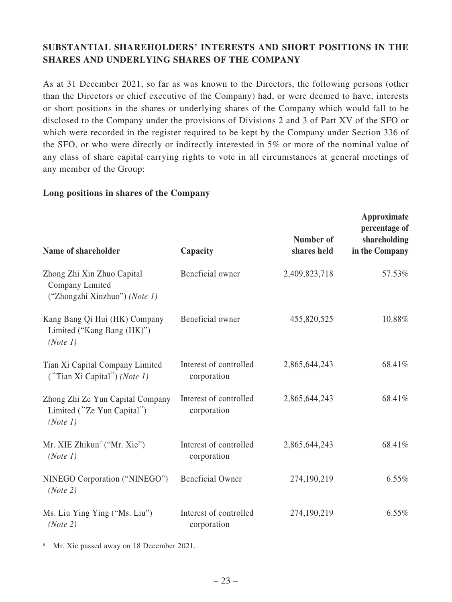# **SUBSTANTIAL SHAREHOLDERS' INTERESTS AND SHORT POSITIONS IN THE SHARES AND UNDERLYING SHARES OF THE COMPANY**

As at 31 December 2021, so far as was known to the Directors, the following persons (other than the Directors or chief executive of the Company) had, or were deemed to have, interests or short positions in the shares or underlying shares of the Company which would fall to be disclosed to the Company under the provisions of Divisions 2 and 3 of Part XV of the SFO or which were recorded in the register required to be kept by the Company under Section 336 of the SFO, or who were directly or indirectly interested in 5% or more of the nominal value of any class of share capital carrying rights to vote in all circumstances at general meetings of any member of the Group:

### **Long positions in shares of the Company**

| Name of shareholder                                                            | Capacity                              | Number of<br>shares held | Approximate<br>percentage of<br>shareholding<br>in the Company |
|--------------------------------------------------------------------------------|---------------------------------------|--------------------------|----------------------------------------------------------------|
| Zhong Zhi Xin Zhuo Capital<br>Company Limited<br>("Zhongzhi Xinzhuo") (Note 1) | Beneficial owner                      | 2,409,823,718            | 57.53%                                                         |
| Kang Bang Qi Hui (HK) Company<br>Limited ("Kang Bang (HK)")<br>(Note 1)        | Beneficial owner                      | 455,820,525              | 10.88%                                                         |
| Tian Xi Capital Company Limited<br>$("Tian Xi Capital")$ (Note 1)              | Interest of controlled<br>corporation | 2,865,644,243            | 68.41%                                                         |
| Zhong Zhi Ze Yun Capital Company<br>Limited ("Ze Yun Capital")<br>(Note 1)     | Interest of controlled<br>corporation | 2,865,644,243            | 68.41%                                                         |
| Mr. XIE Zhikun <sup>#</sup> ("Mr. Xie")<br>(Note 1)                            | Interest of controlled<br>corporation | 2,865,644,243            | 68.41%                                                         |
| NINEGO Corporation ("NINEGO")<br>(Note 2)                                      | <b>Beneficial Owner</b>               | 274,190,219              | 6.55%                                                          |
| Ms. Liu Ying Ying ("Ms. Liu")<br>(Note 2)                                      | Interest of controlled<br>corporation | 274,190,219              | 6.55%                                                          |

Mr. Xie passed away on 18 December 2021.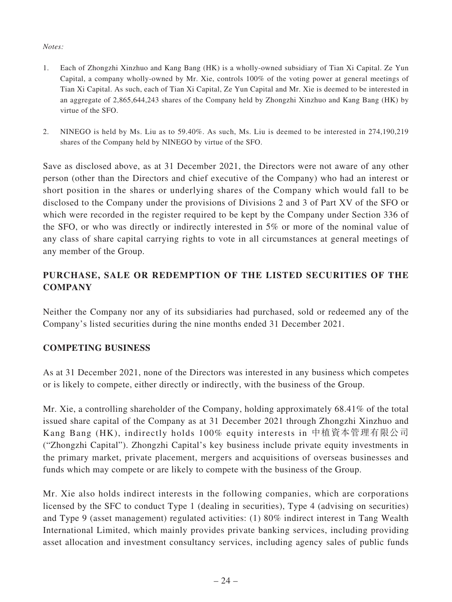### *Notes:*

- 1. Each of Zhongzhi Xinzhuo and Kang Bang (HK) is a wholly-owned subsidiary of Tian Xi Capital. Ze Yun Capital, a company wholly-owned by Mr. Xie, controls 100% of the voting power at general meetings of Tian Xi Capital. As such, each of Tian Xi Capital, Ze Yun Capital and Mr. Xie is deemed to be interested in an aggregate of 2,865,644,243 shares of the Company held by Zhongzhi Xinzhuo and Kang Bang (HK) by virtue of the SFO.
- 2. NINEGO is held by Ms. Liu as to 59.40%. As such, Ms. Liu is deemed to be interested in 274,190,219 shares of the Company held by NINEGO by virtue of the SFO.

Save as disclosed above, as at 31 December 2021, the Directors were not aware of any other person (other than the Directors and chief executive of the Company) who had an interest or short position in the shares or underlying shares of the Company which would fall to be disclosed to the Company under the provisions of Divisions 2 and 3 of Part XV of the SFO or which were recorded in the register required to be kept by the Company under Section 336 of the SFO, or who was directly or indirectly interested in 5% or more of the nominal value of any class of share capital carrying rights to vote in all circumstances at general meetings of any member of the Group.

# **PURCHASE, SALE OR REDEMPTION OF THE LISTED SECURITIES OF THE COMPANY**

Neither the Company nor any of its subsidiaries had purchased, sold or redeemed any of the Company's listed securities during the nine months ended 31 December 2021.

### **COMPETING BUSINESS**

As at 31 December 2021, none of the Directors was interested in any business which competes or is likely to compete, either directly or indirectly, with the business of the Group.

Mr. Xie, a controlling shareholder of the Company, holding approximately 68.41% of the total issued share capital of the Company as at 31 December 2021 through Zhongzhi Xinzhuo and Kang Bang (HK), indirectly holds 100% equity interests in 中植資本管理有限公司 ("Zhongzhi Capital"). Zhongzhi Capital's key business include private equity investments in the primary market, private placement, mergers and acquisitions of overseas businesses and funds which may compete or are likely to compete with the business of the Group.

Mr. Xie also holds indirect interests in the following companies, which are corporations licensed by the SFC to conduct Type 1 (dealing in securities), Type 4 (advising on securities) and Type 9 (asset management) regulated activities: (1) 80% indirect interest in Tang Wealth International Limited, which mainly provides private banking services, including providing asset allocation and investment consultancy services, including agency sales of public funds